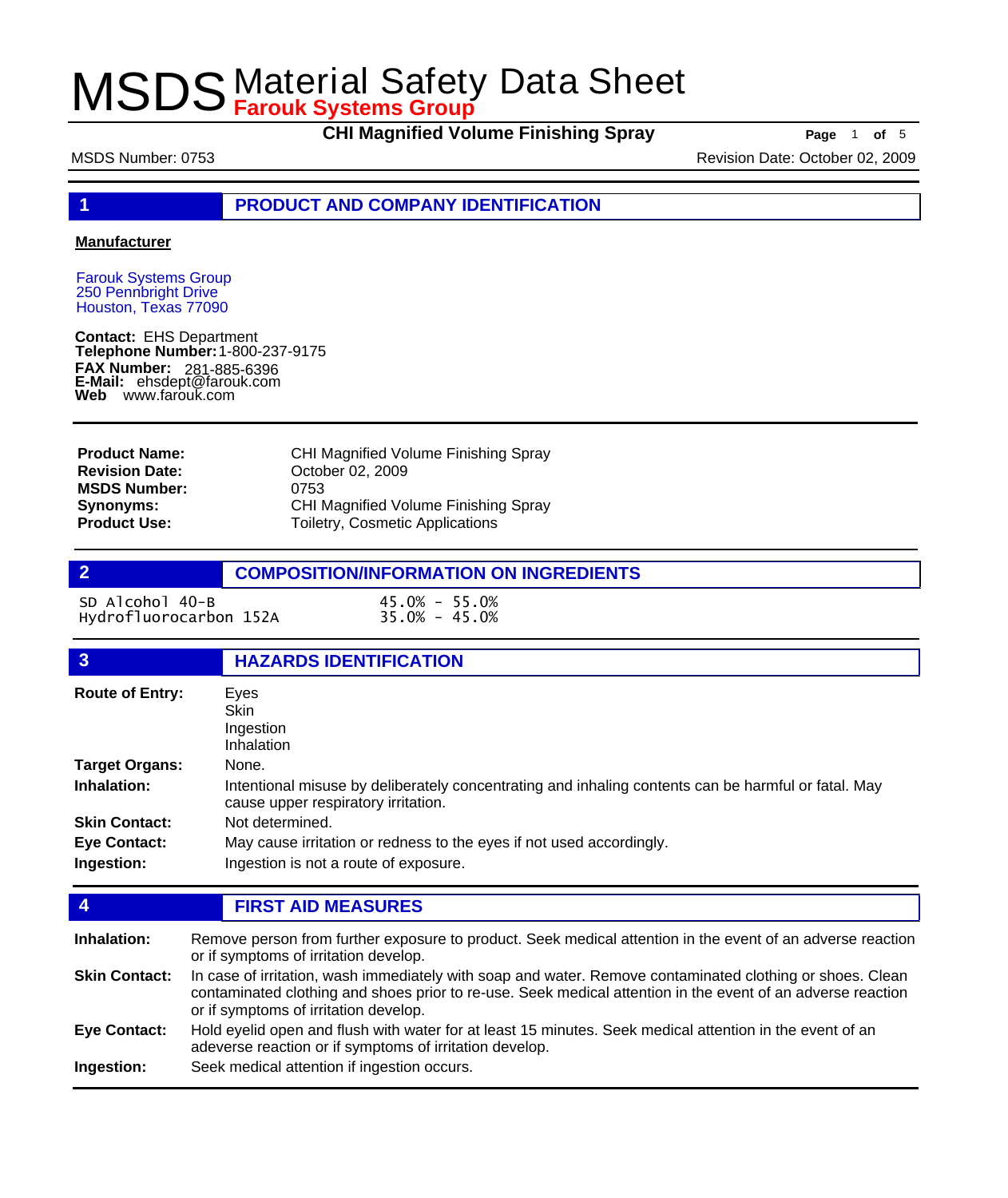**CHI Magnified Volume Finishing Spray Page** 1 of 5

MSDS Number: 0753 Revision Date: October 02, 2009

**1 PRODUCT AND COMPANY IDENTIFICATION**

#### **Manufacturer**

Farouk Systems Group 250 Pennbright Drive Houston, Texas 77090

**Contact:** EHS Department **Telephone Number:** 1-800-237-9175 **FAX Number: FAX Number:** 281-885-6396<br>**E-Mail:** ehsdept@farouk.com **Web** www.farouk.com

CHI Magnified Volume Finishing Spray October 02, 2009 0753 CHI Magnified Volume Finishing Spray Toiletry, Cosmetic Applications **Product Name: Revision Date: MSDS Number: Synonyms: Product Use:**

**2 COMPOSITION/INFORMATION ON INGREDIENTS**

SD Alcohol 40-B 45.0% - 55.0% Hydrofluorocarbon 152A

| $\overline{3}$         | <b>HAZARDS IDENTIFICATION</b>                                                                                                              |  |
|------------------------|--------------------------------------------------------------------------------------------------------------------------------------------|--|
| <b>Route of Entry:</b> | Eyes<br>Skin<br>Ingestion<br>Inhalation                                                                                                    |  |
| <b>Target Organs:</b>  | None.                                                                                                                                      |  |
| Inhalation:            | Intentional misuse by deliberately concentrating and inhaling contents can be harmful or fatal. May<br>cause upper respiratory irritation. |  |
| <b>Skin Contact:</b>   | Not determined.                                                                                                                            |  |
| <b>Eye Contact:</b>    | May cause irritation or redness to the eyes if not used accordingly.                                                                       |  |
| Ingestion:             | Ingestion is not a route of exposure.                                                                                                      |  |

#### **4 FIRST AID MEASURES**

Remove person from further exposure to product. Seek medical attention in the event of an adverse reaction or if symptoms of irritation develop. **Inhalation:** In case of irritation, wash immediately with soap and water. Remove contaminated clothing or shoes. Clean contaminated clothing and shoes prior to re-use. Seek medical attention in the event of an adverse reaction or if symptoms of irritation develop. **Skin Contact:** Hold eyelid open and flush with water for at least 15 minutes. Seek medical attention in the event of an adeverse reaction or if symptoms of irritation develop. **Eye Contact: Ingestion:** Seek medical attention if ingestion occurs.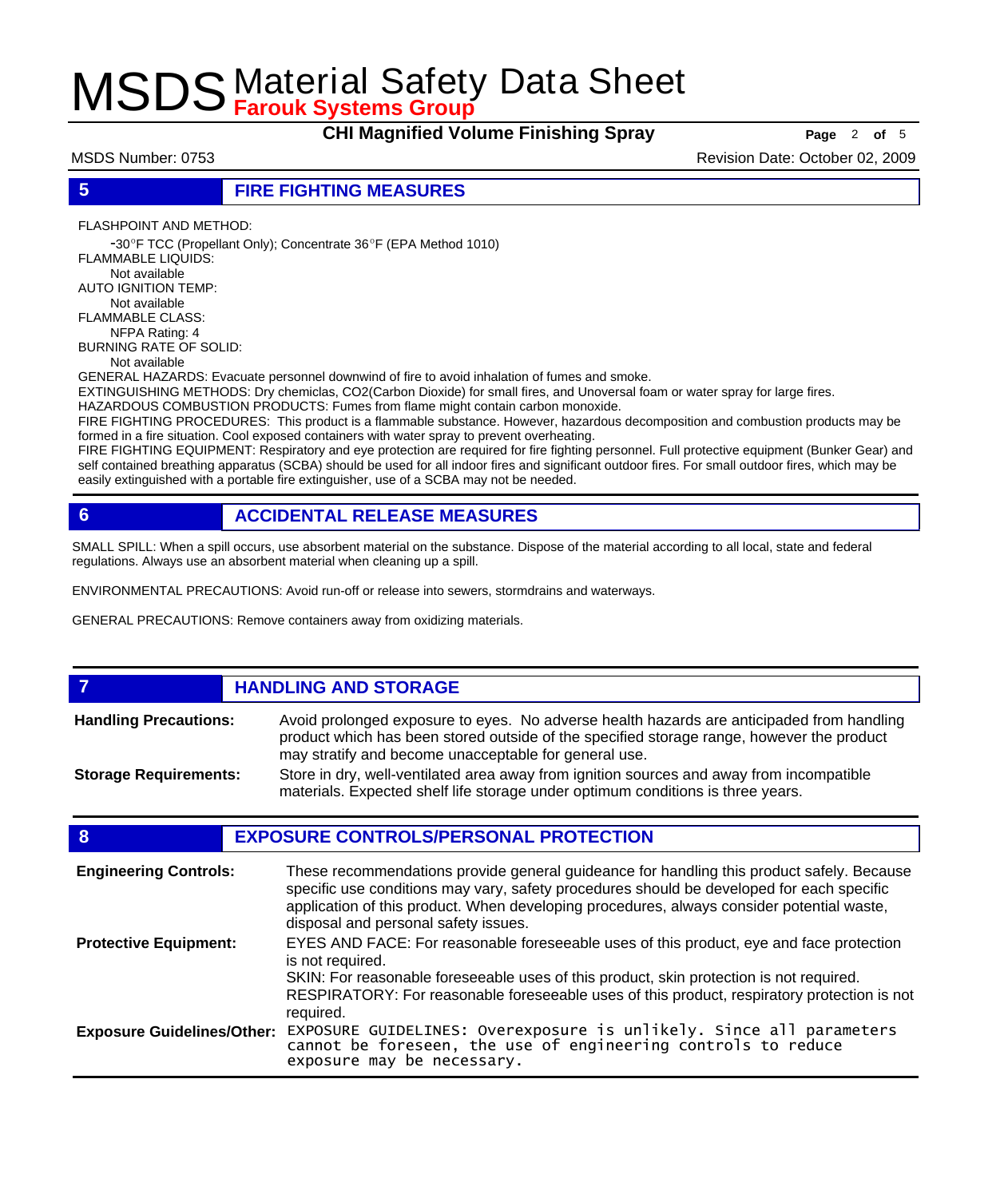**CHI Magnified Volume Finishing Spray Page** 2 of 5

MSDS Number: 0753 Revision Date: October 02, 2009

### **5 FIRE FIGHTING MEASURES**

FLASHPOINT AND METHOD:

 -30ºF TCC (Propellant Only); Concentrate 36ºF (EPA Method 1010) FLAMMABLE LIQUIDS: Not available AUTO IGNITION TEMP: Not available FLAMMABLE CLASS: NFPA Rating: 4 BURNING RATE OF SOLID: Not available

GENERAL HAZARDS: Evacuate personnel downwind of fire to avoid inhalation of fumes and smoke.

EXTINGUISHING METHODS: Dry chemiclas, CO2(Carbon Dioxide) for small fires, and Unoversal foam or water spray for large fires.

HAZARDOUS COMBUSTION PRODUCTS: Fumes from flame might contain carbon monoxide.

FIRE FIGHTING PROCEDURES: This product is a flammable substance. However, hazardous decomposition and combustion products may be formed in a fire situation. Cool exposed containers with water spray to prevent overheating.

FIRE FIGHTING EQUIPMENT: Respiratory and eye protection are required for fire fighting personnel. Full protective equipment (Bunker Gear) and self contained breathing apparatus (SCBA) should be used for all indoor fires and significant outdoor fires. For small outdoor fires, which may be easily extinguished with a portable fire extinguisher, use of a SCBA may not be needed.

### **6 ACCIDENTAL RELEASE MEASURES**

SMALL SPILL: When a spill occurs, use absorbent material on the substance. Dispose of the material according to all local, state and federal regulations. Always use an absorbent material when cleaning up a spill.

ENVIRONMENTAL PRECAUTIONS: Avoid run-off or release into sewers, stormdrains and waterways.

GENERAL PRECAUTIONS: Remove containers away from oxidizing materials.

#### **FIGURE 12 IN STORAGE** Avoid prolonged exposure to eyes. No adverse health hazards are anticipaded from handling product which has been stored outside of the specified storage range, however the product may stratify and become unacceptable for general use. **Handling Precautions:** Store in dry, well-ventilated area away from ignition sources and away from incompatible materials. Expected shelf life storage under optimum conditions is three years. **Storage Requirements:**

### **8 EXPOSURE CONTROLS/PERSONAL PROTECTION**

| <b>Engineering Controls:</b>      | These recommendations provide general guideance for handling this product safely. Because<br>specific use conditions may vary, safety procedures should be developed for each specific<br>application of this product. When developing procedures, always consider potential waste,<br>disposal and personal safety issues. |
|-----------------------------------|-----------------------------------------------------------------------------------------------------------------------------------------------------------------------------------------------------------------------------------------------------------------------------------------------------------------------------|
| <b>Protective Equipment:</b>      | EYES AND FACE: For reasonable foreseeable uses of this product, eye and face protection<br>is not required.<br>SKIN: For reasonable foreseeable uses of this product, skin protection is not required.<br>RESPIRATORY: For reasonable foreseeable uses of this product, respiratory protection is not<br>required.          |
| <b>Exposure Guidelines/Other:</b> | EXPOSURE GUIDELINES: Overexposure is unlikely. Since all parameters<br>cannot be foreseen, the use of engineering controls to reduce<br>exposure may be necessary.                                                                                                                                                          |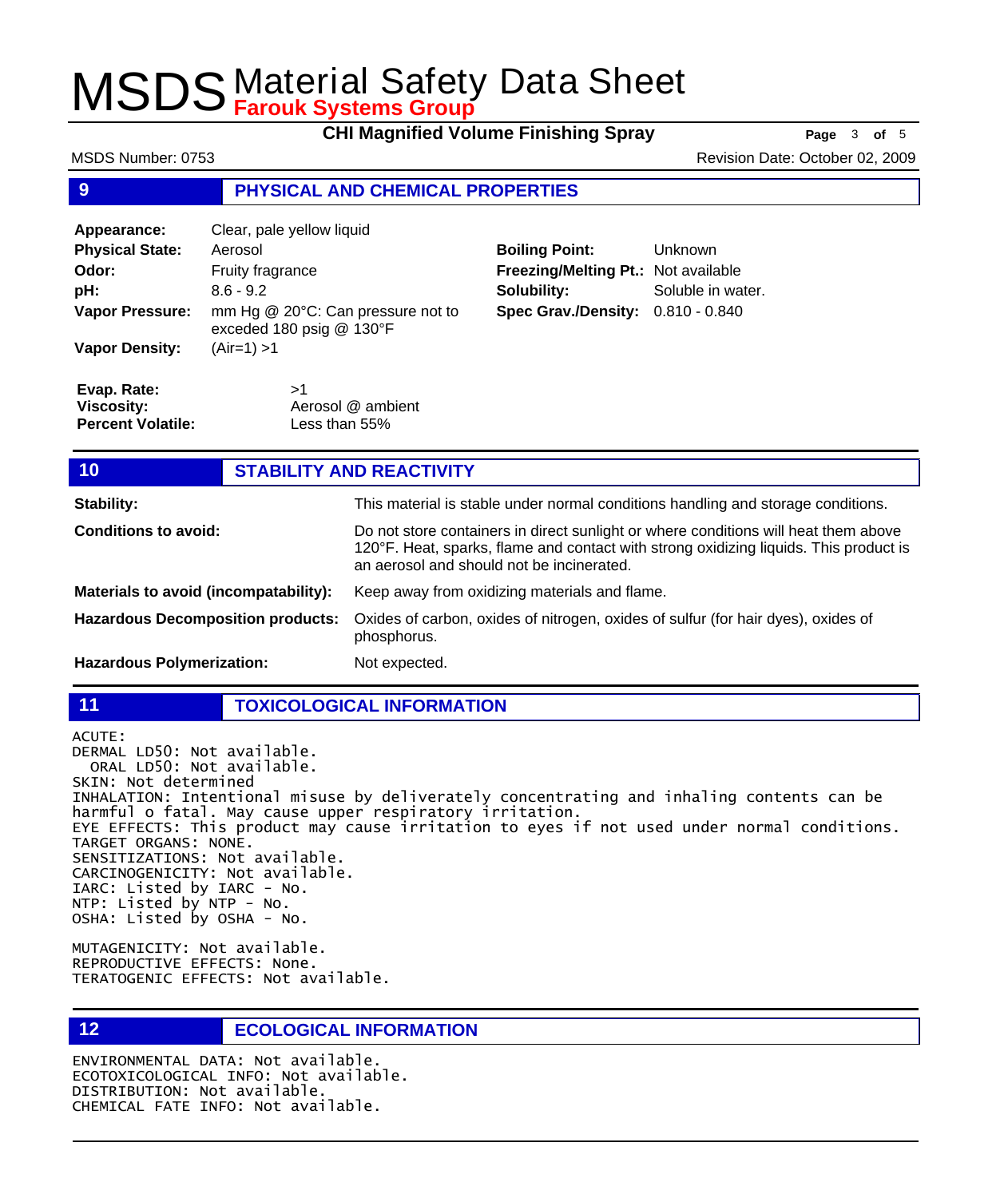**CHI Magnified Volume Finishing Spray Page** 3 of 5

#### **9 PHYSICAL AND CHEMICAL PROPERTIES Appearance:** Clear, pale yellow liquid **Physical State:** Aerosol **Odor:** Fruity fragrance **pH:** 8.6 - 9.2 mm Hg @ 20°C: Can pressure not to exceded 180 psig @ 130°F **Vapor Pressure: Vapor Density:** (Air=1) >1 **Boiling Point:** Unknown **Freezing/Melting Pt.:** Not available **Solubility:** Soluble in water. **Spec Grav./Density:** 0.810 - 0.840  $\mathbf{S}$ <sup>1</sup> Aerosol @ ambient Less than 55% **Evap. Rate: Viscosity: Percent Volatile: 10 STABILITY AND REACTIVITY Stability:** This material is stable under normal conditions handling and storage conditions. Do not store containers in direct sunlight or where conditions will heat them above 120°F. Heat, sparks, flame and contact with strong oxidizing liquids. This product is an aerosol and should not be incinerated. **Conditions to avoid: Materials to avoid (incompatability):** Keep away from oxidizing materials and flame. Oxides of carbon, oxides of nitrogen, oxides of sulfur (for hair dyes), oxides of phosphorus. **Hazardous Decomposition products:** MSDS Number: 0753 Revision Date: October 02, 2009

**Hazardous Polymerization:** Not expected.

### **11 TOXICOLOGICAL INFORMATION**

ACUTE: DERMAL LD50: Not available. ORAL LD50: Not available. SKIN: Not determined INHALATION: Intentional misuse by deliverately concentrating and inhaling contents can be harmful o fatal. May cause upper respiratory irritation. EYE EFFECTS: This product may cause irritation to eyes if not used under normal conditions. TARGET ORGANS: NONE. SENSITIZATIONS: Not available. CARCINOGENICITY: Not available. IARC: Listed by IARC - No. NTP: Listed by NTP - No. OSHA: Listed by OSHA - No.

MUTAGENICITY: Not available. REPRODUCTIVE EFFECTS: None. TERATOGENIC EFFECTS: Not available.

**12 ECOLOGICAL INFORMATION** 

ENVIRONMENTAL DATA: Not available. ECOTOXICOLOGICAL INFO: Not available. DISTRIBUTION: Not available. CHEMICAL FATE INFO: Not available.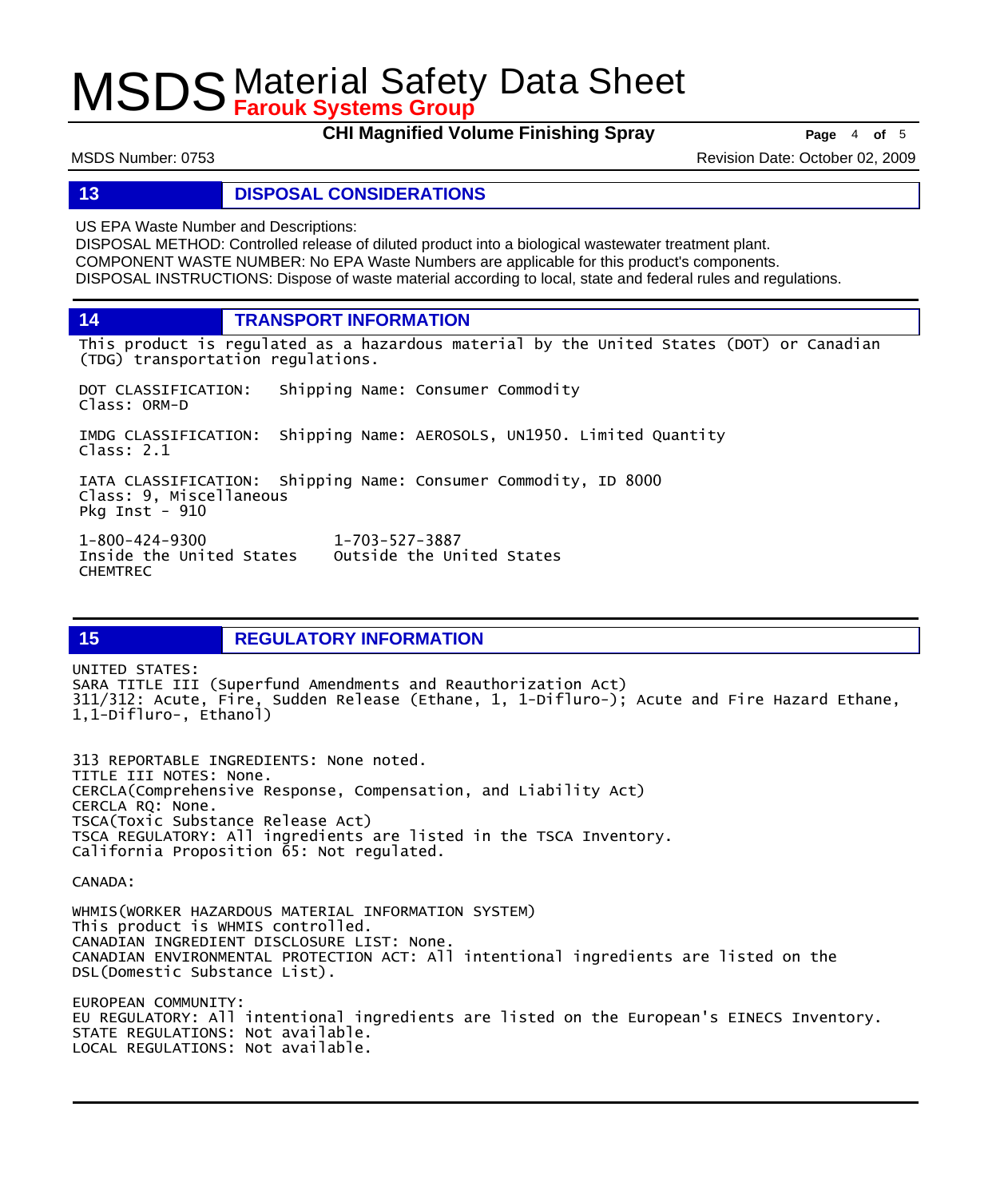**CHI Magnified Volume Finishing Spray Page** 4 of 5

MSDS Number: 0753 Revision Date: October 02, 2009

### **13 DISPOSAL CONSIDERATIONS**

US EPA Waste Number and Descriptions:

DISPOSAL METHOD: Controlled release of diluted product into a biological wastewater treatment plant. COMPONENT WASTE NUMBER: No EPA Waste Numbers are applicable for this product's components. DISPOSAL INSTRUCTIONS: Dispose of waste material according to local, state and federal rules and regulations.

**14 TRANSPORT INFORMATION**

This product is regulated as a hazardous material by the United States (DOT) or Canadian (TDG) transportation regulations.

DOT CLASSIFICATION: Shipping Name: Consumer Commodity Class: ORM-D IMDG CLASSIFICATION: Shipping Name: AEROSOLS, UN1950. Limited Quantity Class: 2.1 IATA CLASSIFICATION: Shipping Name: Consumer Commodity, ID 8000 Class: 9, Miscellaneous Pkg Inst - 910 1-800-424-9300 1-703-527-3887 Outside the United States

**15 REGULATORY INFORMATION**

UNITED STATES: SARA TITLE III (Superfund Amendments and Reauthorization Act) 311/312: Acute, Fire, Sudden Release (Ethane, 1, 1-Difluro-); Acute and Fire Hazard Ethane, 1,1-Difluro-, Ethanol)

313 REPORTABLE INGREDIENTS: None noted. TITLE III NOTES: None. CERCLA(Comprehensive Response, Compensation, and Liability Act) CERCLA RQ: None. TSCA(Toxic Substance Release Act) TSCA REGULATORY: All ingredients are listed in the TSCA Inventory. California Proposition 65: Not regulated.

CANADA:

CHEMTREC

WHMIS(WORKER HAZARDOUS MATERIAL INFORMATION SYSTEM) This product is WHMIS controlled. CANADIAN INGREDIENT DISCLOSURE LIST: None. CANADIAN ENVIRONMENTAL PROTECTION ACT: All intentional ingredients are listed on the DSL(Domestic Substance List).

EUROPEAN COMMUNITY: EU REGULATORY: All intentional ingredients are listed on the European's EINECS Inventory. STATE REGULATIONS: Not available. LOCAL REGULATIONS: Not available.